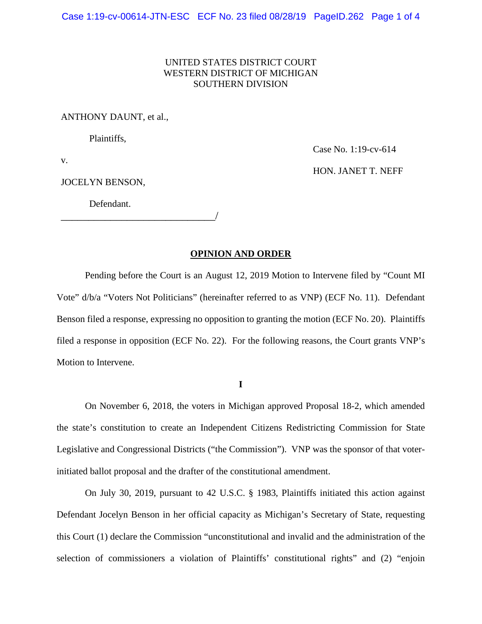# UNITED STATES DISTRICT COURT WESTERN DISTRICT OF MICHIGAN SOUTHERN DIVISION

### ANTHONY DAUNT, et al.,

Plaintiffs,

Case No. 1:19-cv-614

v.

JOCELYN BENSON,

HON. JANET T. NEFF

Defendant.

\_\_\_\_\_\_\_\_\_\_\_\_\_\_\_\_\_\_\_\_\_\_\_\_\_\_\_\_/

# **OPINION AND ORDER**

Pending before the Court is an August 12, 2019 Motion to Intervene filed by "Count MI Vote" d/b/a "Voters Not Politicians" (hereinafter referred to as VNP) (ECF No. 11). Defendant Benson filed a response, expressing no opposition to granting the motion (ECF No. 20). Plaintiffs filed a response in opposition (ECF No. 22). For the following reasons, the Court grants VNP's Motion to Intervene.

**I**

On November 6, 2018, the voters in Michigan approved Proposal 18-2, which amended the state's constitution to create an Independent Citizens Redistricting Commission for State Legislative and Congressional Districts ("the Commission"). VNP was the sponsor of that voterinitiated ballot proposal and the drafter of the constitutional amendment.

On July 30, 2019, pursuant to 42 U.S.C. § 1983, Plaintiffs initiated this action against Defendant Jocelyn Benson in her official capacity as Michigan's Secretary of State, requesting this Court (1) declare the Commission "unconstitutional and invalid and the administration of the selection of commissioners a violation of Plaintiffs' constitutional rights" and (2) "enjoin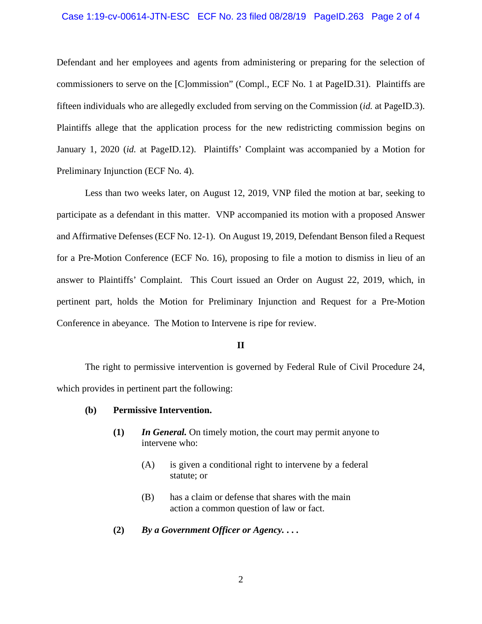### Case 1:19-cv-00614-JTN-ESC ECF No. 23 filed 08/28/19 PageID.263 Page 2 of 4

Defendant and her employees and agents from administering or preparing for the selection of commissioners to serve on the [C]ommission" (Compl., ECF No. 1 at PageID.31). Plaintiffs are fifteen individuals who are allegedly excluded from serving on the Commission (*id.* at PageID.3). Plaintiffs allege that the application process for the new redistricting commission begins on January 1, 2020 (*id.* at PageID.12). Plaintiffs' Complaint was accompanied by a Motion for Preliminary Injunction (ECF No. 4).

Less than two weeks later, on August 12, 2019, VNP filed the motion at bar, seeking to participate as a defendant in this matter. VNP accompanied its motion with a proposed Answer and Affirmative Defenses (ECF No. 12-1). On August 19, 2019, Defendant Benson filed a Request for a Pre-Motion Conference (ECF No. 16), proposing to file a motion to dismiss in lieu of an answer to Plaintiffs' Complaint. This Court issued an Order on August 22, 2019, which, in pertinent part, holds the Motion for Preliminary Injunction and Request for a Pre-Motion Conference in abeyance. The Motion to Intervene is ripe for review.

#### **II**

The right to permissive intervention is governed by Federal Rule of Civil Procedure 24, which provides in pertinent part the following:

## **(b) Permissive Intervention.**

- **(1)** *In General.* On timely motion, the court may permit anyone to intervene who:
	- (A) is given a conditional right to intervene by a federal statute; or
	- (B) has a claim or defense that shares with the main action a common question of law or fact.
- **(2)** *By a Government Officer or Agency.* **. . .**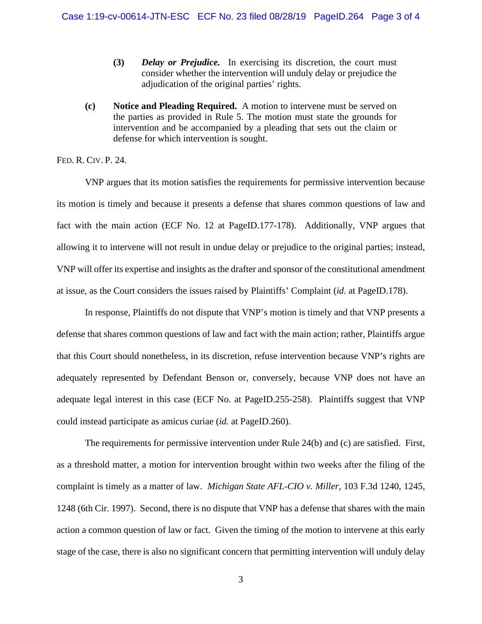- **(3)** *Delay or Prejudice.* In exercising its discretion, the court must consider whether the intervention will unduly delay or prejudice the adjudication of the original parties' rights.
- **(c) Notice and Pleading Required.** A motion to intervene must be served on the parties as provided in Rule 5. The motion must state the grounds for intervention and be accompanied by a pleading that sets out the claim or defense for which intervention is sought.

# FED. R. CIV. P. 24.

VNP argues that its motion satisfies the requirements for permissive intervention because its motion is timely and because it presents a defense that shares common questions of law and fact with the main action (ECF No. 12 at PageID.177-178). Additionally, VNP argues that allowing it to intervene will not result in undue delay or prejudice to the original parties; instead, VNP will offer its expertise and insights as the drafter and sponsor of the constitutional amendment at issue, as the Court considers the issues raised by Plaintiffs' Complaint (*id.* at PageID.178).

In response, Plaintiffs do not dispute that VNP's motion is timely and that VNP presents a defense that shares common questions of law and fact with the main action; rather, Plaintiffs argue that this Court should nonetheless, in its discretion, refuse intervention because VNP's rights are adequately represented by Defendant Benson or, conversely, because VNP does not have an adequate legal interest in this case (ECF No. at PageID.255-258). Plaintiffs suggest that VNP could instead participate as amicus curiae (*id.* at PageID.260).

The requirements for permissive intervention under Rule 24(b) and (c) are satisfied. First, as a threshold matter, a motion for intervention brought within two weeks after the filing of the complaint is timely as a matter of law. *Michigan State AFL-CIO v. Miller*, 103 F.3d 1240, 1245, 1248 (6th Cir. 1997). Second, there is no dispute that VNP has a defense that shares with the main action a common question of law or fact. Given the timing of the motion to intervene at this early stage of the case, there is also no significant concern that permitting intervention will unduly delay